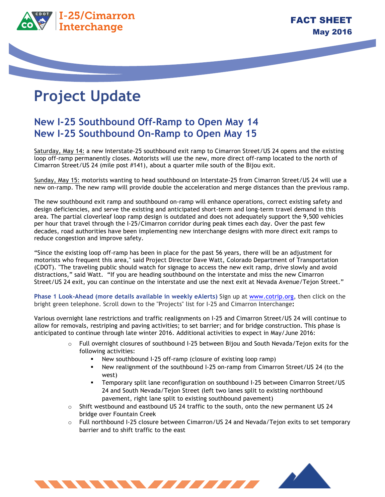

## **Project Update**

## **New I-25 Southbound Off-Ramp to Open May 14 New I-25 Southbound On-Ramp to Open May 15**

Saturday, May 14: a new Interstate-25 southbound exit ramp to Cimarron Street/US 24 opens and the existing loop off-ramp permanently closes. Motorists will use the new, more direct off-ramp located to the north of Cimarron Street/US 24 (mile post #141), about a quarter mile south of the Bijou exit.

Sunday, May 15: motorists wanting to head southbound on Interstate-25 from Cimarron Street/US 24 will use a new on-ramp. The new ramp will provide double the acceleration and merge distances than the previous ramp.

The new southbound exit ramp and southbound on-ramp will enhance operations, correct existing safety and design deficiencies, and serve the existing and anticipated short-term and long-term travel demand in this area. The partial cloverleaf loop ramp design is outdated and does not adequately support the 9,500 vehicles per hour that travel through the I-25/Cimarron corridor during peak times each day. Over the past few decades, road authorities have been implementing new interchange designs with more direct exit ramps to reduce congestion and improve safety.

"Since the existing loop off-ramp has been in place for the past 56 years, there will be an adjustment for motorists who frequent this area," said Project Director Dave Watt, Colorado Department of Transportation (CDOT). "The traveling public should watch for signage to access the new exit ramp, drive slowly and avoid distractions," said Watt. "If you are heading southbound on the interstate and miss the new Cimarron Street/US 24 exit, you can continue on the interstate and use the next exit at Nevada Avenue/Tejon Street."

**Phase 1 Look-Ahead (more details available in weekly eAlerts)** Sign up at www.cotrip.org, then click on the bright green telephone. Scroll down to the "Projects" list for I-25 and Cimarron Interchange**:**

Various overnight lane restrictions and traffic realignments on I-25 and Cimarron Street/US 24 will continue to allow for removals, restriping and paving activities; to set barrier; and for bridge construction. This phase is anticipated to continue through late winter 2016. Additional activities to expect in May/June 2016:

- o Full overnight closures of southbound I-25 between Bijou and South Nevada/Tejon exits for the following activities:
	- New southbound I-25 off-ramp (closure of existing loop ramp)
	- ! New realignment of the southbound I-25 on-ramp from Cimarron Street/US 24 (to the west)
	- ! Temporary split lane reconfiguration on southbound I-25 between Cimarron Street/US 24 and South Nevada/Tejon Street (left two lanes split to existing northbound pavement, right lane split to existing southbound pavement)
- $\circ$  Shift westbound and eastbound US 24 traffic to the south, onto the new permanent US 24 bridge over Fountain Creek
- o Full northbound I-25 closure between Cimarron/US 24 and Nevada/Tejon exits to set temporary barrier and to shift traffic to the east